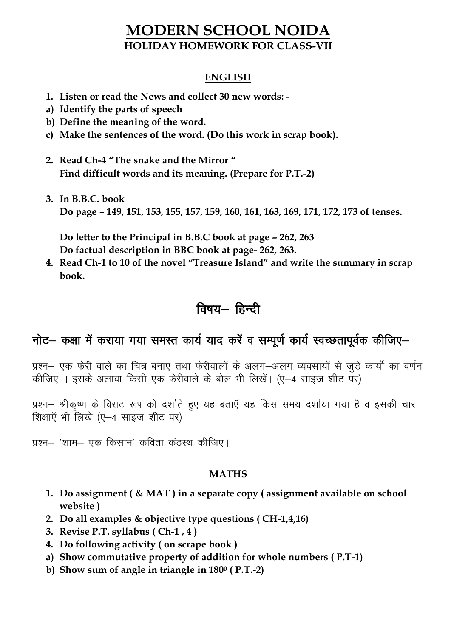### **MODERN SCHOOL NOIDA HOLIDAY HOMEWORK FOR CLASS-VII**

#### **ENGLISH**

- **1. Listen or read the News and collect 30 new words: -**
- **a) Identify the parts of speech**
- **b) Define the meaning of the word.**
- **c) Make the sentences of the word. (Do this work in scrap book).**
- **2. Read Ch-4 "The snake and the Mirror " Find difficult words and its meaning. (Prepare for P.T.-2)**
- **3. In B.B.C. book Do page – 149, 151, 153, 155, 157, 159, 160, 161, 163, 169, 171, 172, 173 of tenses.**

**Do letter to the Principal in B.B.C book at page – 262, 263 Do factual description in BBC book at page- 262, 263.** 

**4. Read Ch-1 to 10 of the novel "Treasure Island" and write the summary in scrap book.** 

## विषय- हिन्दी

# नोट- कक्षा में कराया गया समस्त कार्य याद करें व सम्पूर्ण कार्य स्वच्छतापूर्वक कीजिए-

प्रश्न- एक फेरी वाले का चित्र बनाए तथा फेरीवालों के अलग-अलग व्यवसायों से जुड़े कार्यो का वर्णन कीजिए । इसके अलावा किसी एक फेरीवाले के बोल भी लिखें। (ए—4 साइज शीट पर)

प्रश्न- श्रीकृष्ण के विराट रूप को दर्शाते हुए यह बताएँ यह किस समय दर्शाया गया है व इसकी चार शिक्षाएँ भी लिखे (ए-4 साइज शीट पर)

प्रश्न– 'शाम– एक किसान' कविता कंठस्थ कीजिए।

#### **MATHS**

- **1. Do assignment ( & MAT ) in a separate copy ( assignment available on school website )**
- **2. Do all examples & objective type questions ( CH-1,4,16)**
- **3. Revise P.T. syllabus ( Ch-1 , 4 )**
- **4. Do following activity ( on scrape book )**
- **a) Show commutative property of addition for whole numbers ( P.T-1)**
- **b) Show sum of angle in triangle in 180<sup>0</sup> ( P.T.-2)**